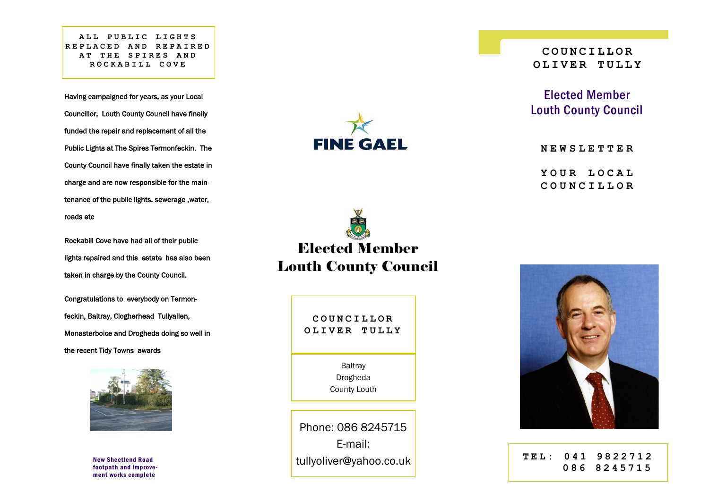**ALL PUBLIC LIGHTS REPLACED AND REPAIRE D AT THE SPIRES AND ROCKABILL COVE** 

Having campaigned for years, as your Local Councillor, Louth County Council have finally funded the repair and replacement of all the Public Lights at The Spires Termonfeckin. The County Council have finally taken the estate in charge and are now responsible for the maintenance of the public lights. sewerage ,water, roads etc

Rockabill Cove have had all of their public lights repaired and this estate has also been taken in charge by the County Council.

Congratulations to everybody on Termonfeckin, Baltray, Clogherhead Tullyallen, Monasterboice and Drogheda doing so well in the recent Tidy Towns awards



New Sheetlend Road footpath and improvement works complete







**COUNCILLOR OLIVER TULLY**

Elected Member Louth County Council

**NEWSLETTER**

**YOUR LOCAL COUNCILLOR**



**TEL: 0 4 1 9 8 2 2 7 1 2 086 8245715**